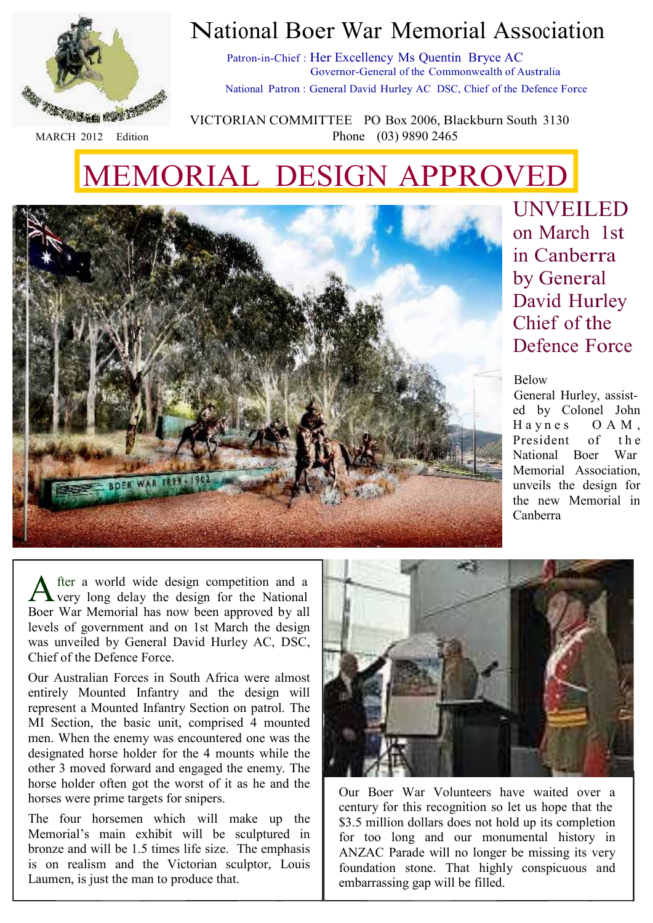

#### MARCH 2012 Edition

### National Boer War Memorial Association

Patron-in-Chief : Her Excellency Ms Quentin Bryce AC Governor-General of the Commonwealth of Australia National Patron : General David Hurley AC DSC, Chief of the Defence Force

VICTORIAN COMMITTEE PO Box 2006, Blackburn South 3130 Phone (03) 9890 2465

# MEMORIAL DESIGN APPROVED



A fter a world wide design competition and a very long delay the design for the National Boer War Memorial has now been approved by all levels of government and on 1st March the design was unveiled by General David Hurley AC, DSC, Chief of the Defence Force.

Our Australian Forces in South Africa were almost entirely Mounted Infantry and the design will represent a Mounted Infantry Section on patrol. The MI Section, the basic unit, comprised 4 mounted men. When the enemy was encountered one was the designated horse holder for the 4 mounts while the other 3 moved forward and engaged the enemy. The horse holder often got the worst of it as he and the horses were prime targets for snipers.

The four horsemen which will make up the Memorial's main exhibit will be sculptured in bronze and will be 1.5 times life size. The emphasis is on realism and the Victorian sculptor, Louis Laumen, is just the man to produce that.

Our Boer War Volunteers have waited over a century for this recognition so let us hope that the \$3.5 million dollars does not hold up its completion for too long and our monumental history in ANZAC Parade will no longer be missing its very foundation stone. That highly conspicuous and embarrassing gap will be filled.

UNVEILED on March 1st in Canberra by General David Hurley Chief of the Defence Force

#### Below

General Hurley, assisted by Colonel John Haynes OAM, President of the National Boer War Memorial Association, unveils the design for the new Memorial in Canberra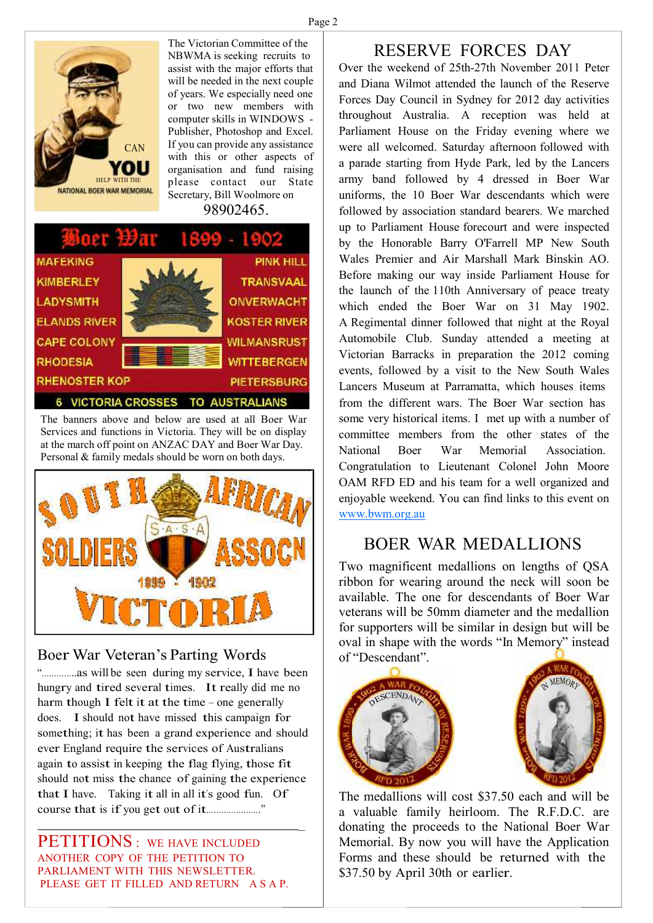

The Victorian Committee of the NBWMA is seeking recruits to assist with the major efforts that will be needed in the next couple of years. We especially need one or two new members with computer skills in WINDOWS - Publisher, Photoshop and Excel. If you can provide any assistance with this or other aspects of organisation and fund raising please contact our State Secretary, Bill Woolmore on

98902465.



The banners above and below are used at all Boer War Services and functions in Victoria. They will be on display at the march off point on ANZAC DAY and Boer War Day. Personal & family medals should be worn on both days.



#### Boer War Veteran's Parting Words

"…………..as will be seen during my service, I have been hungry and tired several times. It really did me no harm though I felt it at the time – one generally does. I should not have missed this campaign for something; it has been <sup>a</sup> grand experience and should ever England require the services of Australians again to assist in keeping the flag flying, those fit should not miss the chance of gaining the experience that I have. Taking it all in all it's good fun. Of course that is if you get out of it…………………."

PETITIONS : WE HAVE INCLUDED ANOTHER COPY OF THE PETITION TO PARLIAMENT WITH THIS NEWSLETTER. PLEASE GET IT FILLED AND RETURN A S A P.

#### RESERVE FORCES DAY

Over the weekend of 25th-27th November 2011 Peter and Diana Wilmot attended the launch of the Reserve Forces Day Council in Sydney for 2012 day activities throughout Australia. A reception was held at Parliament House on the Friday evening where we were all welcomed. Saturday afternoon followed with a parade starting from Hyde Park, led by the Lancers army band followed by 4 dressed in Boer War uniforms, the 10 Boer War descendants which were followed by association standard bearers. We marched up to Parliament House forecourt and were inspected by the Honorable Barry O'Farrell MP New South Wales Premier and Air Marshall Mark Binskin AO. Before making our way inside Parliament House for the launch of the 110th Anniversary of peace treaty which ended the Boer War on 31 May 1902. A Regimental dinner followed that night at the Royal Automobile Club. Sunday attended a meeting at Victorian Barracks in preparation the 2012 coming events, followed by a visit to the New South Wales Lancers Museum at Parramatta, which houses items from the different wars. The Boer War section has some very historical items. I met up with a number of committee members from the other states of the National Boer War Memorial Association. Congratulation to Lieutenant Colonel John Moore OAM RFD ED and his team for a well organized and enjoyable weekend. You can find links to this event on www.bwm.org.au

#### BOER WAR MEDALLIONS

Two magnificent medallions on lengths of QSA ribbon for wearing around the neck will soon be available. The one for descendants of Boer War veterans will be 50mm diameter and the medallion for supporters will be similar in design but will be oval in shape with the words "In Memory" instead of "Descendant".



 $\overline{a}$ 



The medallions will cost \$37.50 each and will be a valuable family heirloom. The R.F.D.C. are donating the proceeds to the National Boer War Memorial. By now you will have the Application Forms and these should be returned with the \$37.50 by April 30th or earlier.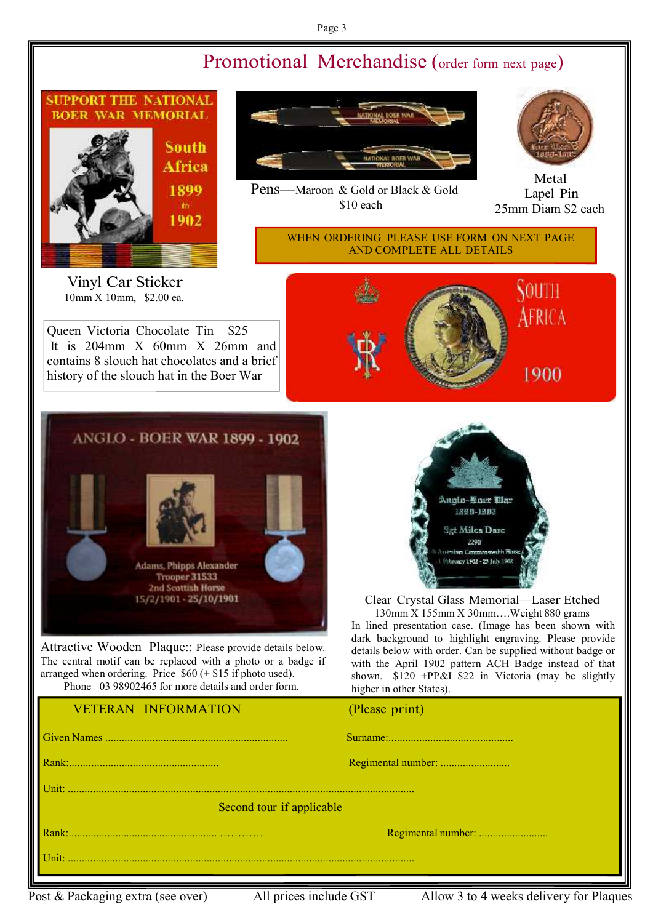#### Page 3

#### Promotional Merchandise (order form next page)



Vinyl Car Sticker 10mm X 10mm, \$2.00 ea.

Queen Victoria Chocolate Tin \$25 It is 204mm X 60mm X 26mm and contains 8 slouch hat chocolates and a brief history of the slouch hat in the Boer War



Pens—Maroon & Gold or Black & Gold \$10 each



Metal Lapel Pin 25mm Diam \$2 each

WHEN ORDERING PLEASE USE FORM ON NEXT PAGE AND COMPLETE ALL DETAILS







Attractive Wooden Plaque:: Please provide details below. The central motif can be replaced with a photo or a badge if arranged when ordering. Price  $$60 (+ $15 \text{ if photo used}).$ Phone 03 98902465 for more details and order form.

#### VETERAN INFORMATION



Clear Crystal Glass Memorial—Laser Etched 130mm X 155mm X 30mm….Weight 880 grams

In lined presentation case. (Image has been shown with dark background to highlight engraving. Please provide details below with order. Can be supplied without badge or with the April 1902 pattern ACH Badge instead of that shown.  $$120$  +PP&I \$22 in Victoria (may be slightly higher in other States).

| VEIERAIN INFURNIATIUN     | $(\Gamma)$ ease princo |  |
|---------------------------|------------------------|--|
|                           |                        |  |
|                           |                        |  |
|                           |                        |  |
| Second tour if applicable |                        |  |
|                           |                        |  |
| Unit:                     |                        |  |
|                           |                        |  |

Post & Packaging extra (see over) All prices include GST Allow 3 to 4 weeks delivery for Plaques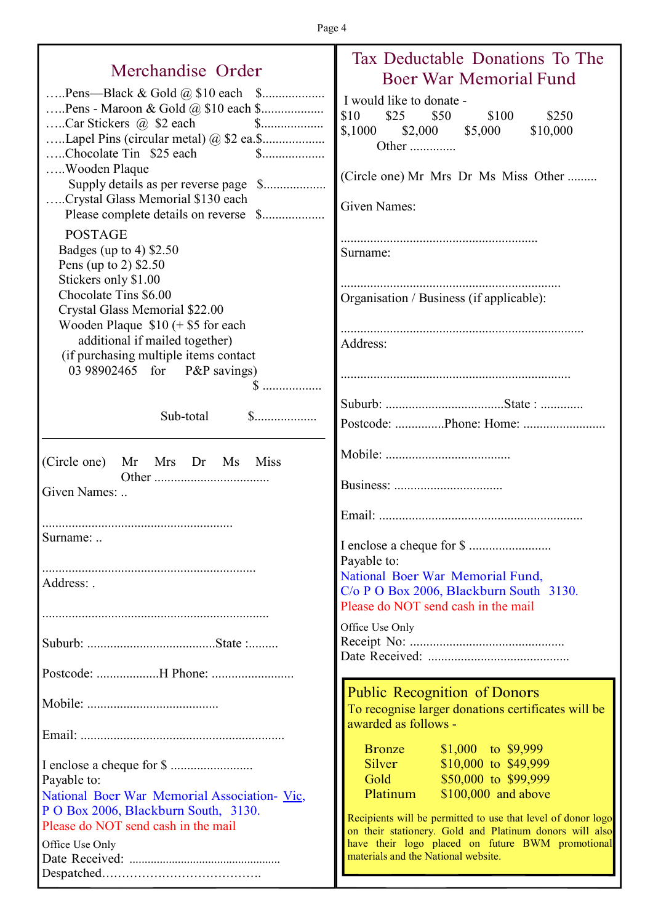### Merchandise Order

| Pens—Black & Gold $\omega$ \$10 each \$<br>Car Stickers $\omega$ \$2 each \$<br>Chocolate Tin \$25 each<br>Wooden Plaque<br>Crystal Glass Memorial \$130 each<br>Please complete details on reverse \$<br><b>POSTAGE</b><br>Badges (up to 4) $$2.50$<br>Pens (up to 2) \$2.50<br>Stickers only \$1.00<br>Chocolate Tins \$6.00<br>Crystal Glass Memorial \$22.00<br>Wooden Plaque $$10 (+ $5$ for each<br>additional if mailed together)<br>(if purchasing multiple items contact<br>03 98902465 for P&P savings)<br>Sub-total | $\S$<br>$\$\dots$ |
|--------------------------------------------------------------------------------------------------------------------------------------------------------------------------------------------------------------------------------------------------------------------------------------------------------------------------------------------------------------------------------------------------------------------------------------------------------------------------------------------------------------------------------|-------------------|
|                                                                                                                                                                                                                                                                                                                                                                                                                                                                                                                                |                   |
|                                                                                                                                                                                                                                                                                                                                                                                                                                                                                                                                |                   |
| (Circle one) Mr Mrs Dr Ms Miss<br>Given Names:<br>Surname:                                                                                                                                                                                                                                                                                                                                                                                                                                                                     |                   |
|                                                                                                                                                                                                                                                                                                                                                                                                                                                                                                                                |                   |
| Address:                                                                                                                                                                                                                                                                                                                                                                                                                                                                                                                       |                   |
|                                                                                                                                                                                                                                                                                                                                                                                                                                                                                                                                |                   |
|                                                                                                                                                                                                                                                                                                                                                                                                                                                                                                                                |                   |
|                                                                                                                                                                                                                                                                                                                                                                                                                                                                                                                                |                   |
|                                                                                                                                                                                                                                                                                                                                                                                                                                                                                                                                |                   |
|                                                                                                                                                                                                                                                                                                                                                                                                                                                                                                                                |                   |
|                                                                                                                                                                                                                                                                                                                                                                                                                                                                                                                                |                   |
|                                                                                                                                                                                                                                                                                                                                                                                                                                                                                                                                |                   |
| Payable to:                                                                                                                                                                                                                                                                                                                                                                                                                                                                                                                    |                   |
| National Boer War Memorial Association- Vic,                                                                                                                                                                                                                                                                                                                                                                                                                                                                                   |                   |
| P O Box 2006, Blackburn South, 3130.<br>Please do NOT send cash in the mail                                                                                                                                                                                                                                                                                                                                                                                                                                                    |                   |
| Office Use Only                                                                                                                                                                                                                                                                                                                                                                                                                                                                                                                |                   |
|                                                                                                                                                                                                                                                                                                                                                                                                                                                                                                                                |                   |
|                                                                                                                                                                                                                                                                                                                                                                                                                                                                                                                                |                   |

### Tax Deductable Donations To The Boer War Memorial Fund would like to donate -\$10 \$25 \$50 \$100 \$250 \$,1000 \$2,000 \$5,000 \$10,000 Other ............... ircle one) Mr Mrs Dr Ms Miss Other ......... ven Names: ............................................................ mame: ................................................................... ganisation / Business (if applicable):

.......................................................................... dress:

......................................................................

Suburb: ....................................State : .............

Postcode: ...............Phone: Home: .........................

Mobile: ......................................

Business: .................................

Email: ..............................................................

I enclose a cheque for \$ ......................... vable to: ational Boer War Memorial Fund, o P O Box 2006, Blackburn South 3130. ease do NOT send cash in the mail

fice Use Only Receipt No: ............................................... Date Received: ...........................................

Public Recognition of Donors To recognise larger donations certificates will be warded as follows -

| <b>Bronze</b> | $$1,000$ to $$9,999$   |
|---------------|------------------------|
| <b>Silver</b> | $$10,000$ to $$49,999$ |
| Gold          | \$50,000 to \$99,999   |
| Platinum      | \$100,000 and above    |

ecipients will be permitted to use that level of donor logo on their stationery. Gold and Platinum donors will also ave their logo placed on future BWM promotional materials and the National website.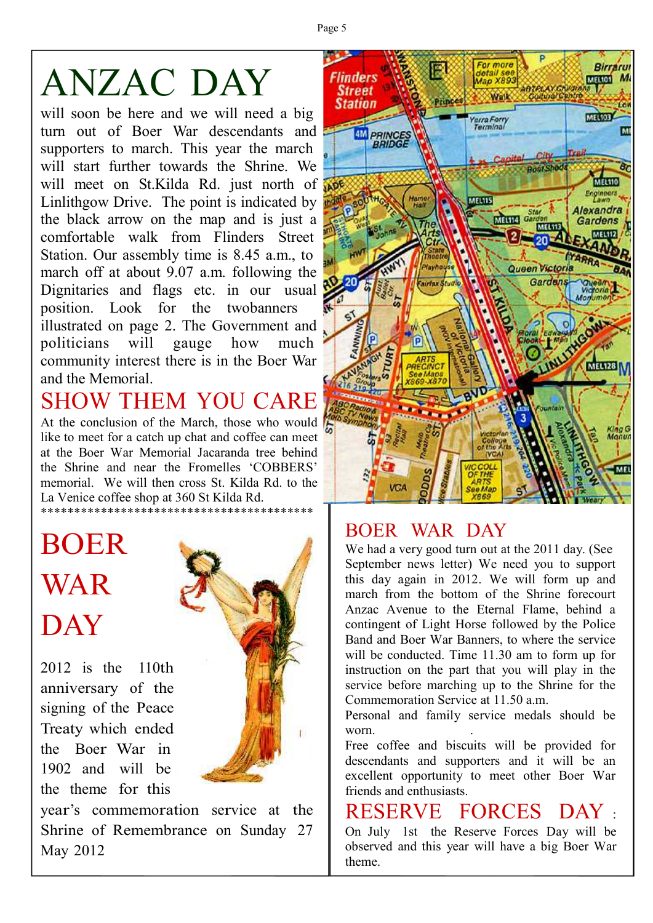Page 5

# ANZAC DAY

will soon be here and we will need a big turn out of Boer War descendants and supporters to march. This year the march will start further towards the Shrine. We will meet on St.Kilda Rd. just north of Linlithgow Drive. The point is indicated by the black arrow on the map and is just a comfortable walk from Flinders Street Station. Our assembly time is 8.45 a.m., to march off at about 9.07 a.m. following the Dignitaries and flags etc. in our usual position. Look for the twobanners illustrated on page 2. The Government and politicians will gauge how much community interest there is in the Boer War and the Memorial.

# SHOW THEM YOU CARE

At the conclusion of the March, those who would like to meet for a catch up chat and coffee can meet at the Boer War Memorial Jacaranda tree behind the Shrine and near the Fromelles 'COBBERS' memorial. We will then cross St. Kilda Rd. to the La Venice coffee shop at 360 St Kilda Rd. \*\*\*\*\*\*\*\*\*\*\*\*\*\*\*\*\*\*\*\*\*\*\*\*\*\*\*\*\*\*\*\*\*\*\*\*\*\*\*\*\*

# BOER WAR **DAY**

2012 is the 110th anniversary of the signing of the Peace Treaty which ended the Boer War in 1902 and will be the theme for this



year's commemoration service at the Shrine of Remembrance on Sunday 27 May 2012



### BOER WAR DAY

We had a very good turn out at the 2011 day. (See September news letter) We need you to support this day again in 2012. We will form up and march from the bottom of the Shrine forecourt Anzac Avenue to the Eternal Flame, behind a contingent of Light Horse followed by the Police Band and Boer War Banners, to where the service will be conducted. Time 11.30 am to form up for instruction on the part that you will play in the service before marching up to the Shrine for the Commemoration Service at 11.50 a.m.

Personal and family service medals should be worn

Free coffee and biscuits will be provided for descendants and supporters and it will be an excellent opportunity to meet other Boer War friends and enthusiasts.

## RESERVE FORCES DAY :

On July 1st the Reserve Forces Day will be observed and this year will have a big Boer War theme.